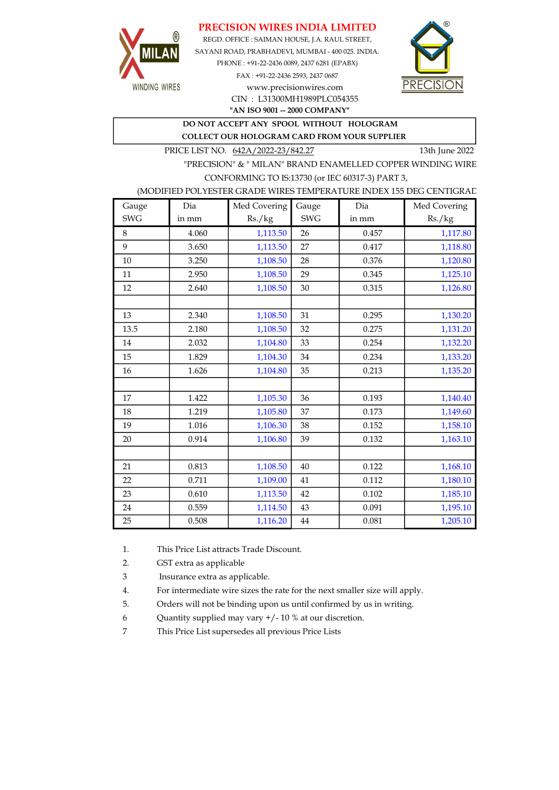## PRECISION WIRES INDIA LIMITED



REGD. OFFICE : SAIMAN HOUSE, J.A. RAUL STREET, SAYANI ROAD, PRABHADEVI, MUMBAI - 400 025. INDIA. PHONE : +91-22-2436 0089, 2437 6281 (EPABX) FAX : +91-22-2436 2593, 2437 0687 www.precisionwires.com



"AN ISO 9001 -- 2000 COMPANY"

# DO NOT ACCEPT ANY SPOOL WITHOUT HOLOGRAM

COLLECT OUR HOLOGRAM CARD FROM YOUR SUPPLIER

CIN : L31300MH1989PLC054355

PRICE LIST NO. 642A/2022-23/842.27 13th June 2022

"PRECISION" & " MILAN" BRAND ENAMELLED COPPER WINDING WIRE CONFORMING TO IS:13730 (or IEC 60317-3) PART 3,

#### (MODIFIED POLYESTER GRADE WIRES TEMPERATURE INDEX 155 DEG CENTIGRAD

| Gauge      | Dia   | Med Covering | Gauge      | Dia   | Med Covering |
|------------|-------|--------------|------------|-------|--------------|
| <b>SWG</b> | in mm | Rs./kg       | <b>SWG</b> | in mm | Rs./kg       |
| 8          | 4.060 | 1,113.50     | 26         | 0.457 | 1,117.80     |
| 9          | 3.650 | 1,113.50     | 27         | 0.417 | 1,118.80     |
| 10         | 3.250 | 1,108.50     | 28         | 0.376 | 1,120.80     |
| 11         | 2.950 | 1,108.50     | 29         | 0.345 | 1,125.10     |
| 12         | 2.640 | 1,108.50     | 30         | 0.315 | 1,126.80     |
|            |       |              |            |       |              |
| 13         | 2.340 | 1,108.50     | 31         | 0.295 | 1,130.20     |
| 13.5       | 2.180 | 1,108.50     | 32         | 0.275 | 1,131.20     |
| 14         | 2.032 | 1,104.80     | 33         | 0.254 | 1,132.20     |
| 15         | 1.829 | 1,104.30     | 34         | 0.234 | 1,133.20     |
| 16         | 1.626 | 1,104.80     | 35         | 0.213 | 1,135.20     |
|            |       |              |            |       |              |
| 17         | 1.422 | 1,105.30     | 36         | 0.193 | 1,140.40     |
| 18         | 1.219 | 1,105.80     | 37         | 0.173 | 1,149.60     |
| 19         | 1.016 | 1,106.30     | 38         | 0.152 | 1,158.10     |
| 20         | 0.914 | 1,106.80     | 39         | 0.132 | 1,163.10     |
|            |       |              |            |       |              |
| 21         | 0.813 | 1,108.50     | 40         | 0.122 | 1,168.10     |
| 22         | 0.711 | 1,109.00     | 41         | 0.112 | 1,180.10     |
| 23         | 0.610 | 1,113.50     | 42         | 0.102 | 1,185.10     |
| 24         | 0.559 | 1,114.50     | 43         | 0.091 | 1,195.10     |
| 25         | 0.508 | 1,116.20     | 44         | 0.081 | 1,205.10     |

1. This Price List attracts Trade Discount.

2. GST extra as applicable

3 Insurance extra as applicable.

4. For intermediate wire sizes the rate for the next smaller size will apply.

5. Orders will not be binding upon us until confirmed by us in writing.

6 Quantity supplied may vary +/- 10 % at our discretion.

7 This Price List supersedes all previous Price Lists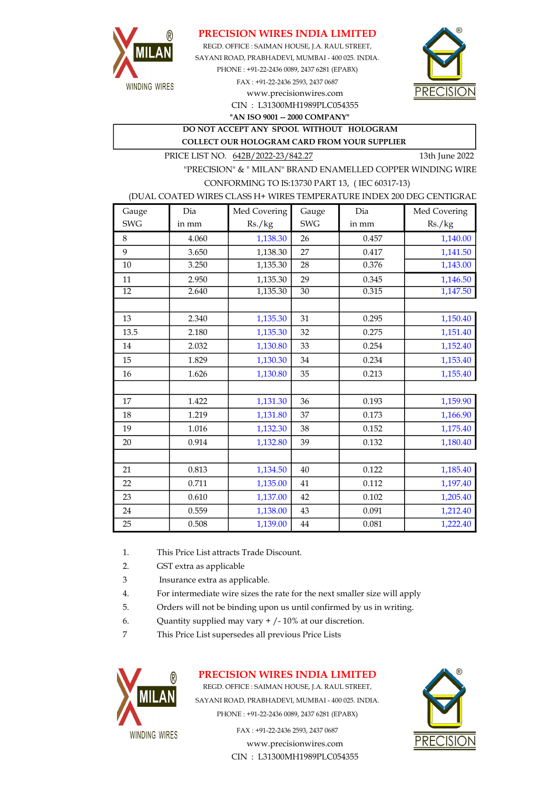

### PRECISION WIRES INDIA LIMITED

CIN : L31300MH1989PLC054355 SAYANI ROAD, PRABHADEVI, MUMBAI - 400 025. INDIA. PHONE : +91-22-2436 0089, 2437 6281 (EPABX) FAX : +91-22-2436 2593, 2437 0687 www.precisionwires.com REGD. OFFICE : SAIMAN HOUSE, J.A. RAUL STREET,



"AN ISO 9001 -- 2000 COMPANY"

DO NOT ACCEPT ANY SPOOL WITHOUT HOLOGRAM COLLECT OUR HOLOGRAM CARD FROM YOUR SUPPLIER

PRICE LIST NO.  $642B/2022-23/842.27$  13th June 2022

"PRECISION" & " MILAN" BRAND ENAMELLED COPPER WINDING WIRE CONFORMING TO IS:13730 PART 13, ( IEC 60317-13)

#### (DUAL COATED WIRES CLASS H+ WIRES TEMPERATURE INDEX 200 DEG CENTIGRAD

| Gauge      | Dia   | Med Covering | Gauge      | Dia   | Med Covering |
|------------|-------|--------------|------------|-------|--------------|
| <b>SWG</b> | in mm | Rs./kg       | <b>SWG</b> | in mm | Rs./kg       |
| 8          | 4.060 | 1,138.30     | 26         | 0.457 | 1,140.00     |
| 9          | 3.650 | 1,138.30     | 27         | 0.417 | 1,141.50     |
| 10         | 3.250 | 1,135.30     | 28         | 0.376 | 1,143.00     |
| 11         | 2.950 | 1,135.30     | 29         | 0.345 | 1,146.50     |
| 12         | 2.640 | 1,135.30     | 30         | 0.315 | 1,147.50     |
|            |       |              |            |       |              |
| 13         | 2.340 | 1,135.30     | 31         | 0.295 | 1,150.40     |
| 13.5       | 2.180 | 1,135.30     | 32         | 0.275 | 1,151.40     |
| 14         | 2.032 | 1,130.80     | 33         | 0.254 | 1,152.40     |
| 15         | 1.829 | 1,130.30     | 34         | 0.234 | 1,153.40     |
| 16         | 1.626 | 1,130.80     | 35         | 0.213 | 1,155.40     |
|            |       |              |            |       |              |
| 17         | 1.422 | 1,131.30     | 36         | 0.193 | 1,159.90     |
| 18         | 1.219 | 1,131.80     | 37         | 0.173 | 1,166.90     |
| 19         | 1.016 | 1,132.30     | 38         | 0.152 | 1,175.40     |
| 20         | 0.914 | 1,132.80     | 39         | 0.132 | 1,180.40     |
|            |       |              |            |       |              |
| 21         | 0.813 | 1,134.50     | 40         | 0.122 | 1,185.40     |
| 22         | 0.711 | 1,135.00     | 41         | 0.112 | 1,197.40     |
| 23         | 0.610 | 1,137.00     | 42         | 0.102 | 1,205.40     |
| 24         | 0.559 | 1,138.00     | 43         | 0.091 | 1,212.40     |
| 25         | 0.508 | 1,139.00     | 44         | 0.081 | 1,222.40     |

- 1. This Price List attracts Trade Discount.
- 2. GST extra as applicable
- 3 Insurance extra as applicable.
- 4. For intermediate wire sizes the rate for the next smaller size will apply
- 5. Orders will not be binding upon us until confirmed by us in writing.
- 6. Quantity supplied may vary  $+/-10\%$  at our discretion.
- 7 This Price List supersedes all previous Price Lists



# PRECISION WIRES INDIA LIMITED

REGD. OFFICE : SAIMAN HOUSE, J.A. RAUL STREET, SAYANI ROAD, PRABHADEVI, MUMBAI - 400 025. INDIA. PHONE : +91-22-2436 0089, 2437 6281 (EPABX)

> FAX : +91-22-2436 2593, 2437 0687 www.precisionwires.com CIN : L31300MH1989PLC054355